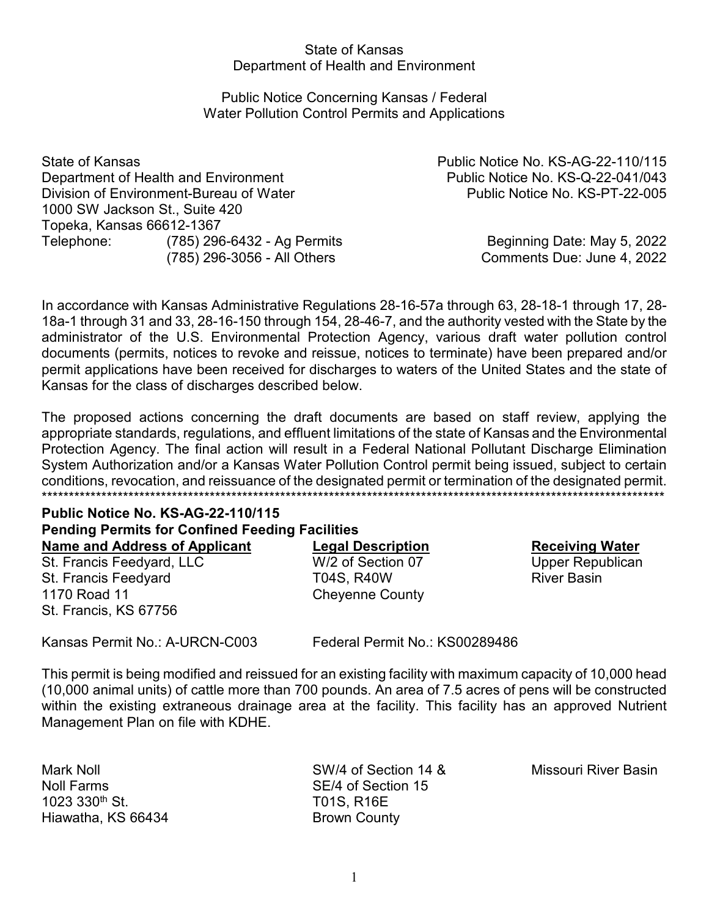## State of Kansas Department of Health and Environment

## Public Notice Concerning Kansas / Federal Water Pollution Control Permits and Applications

State of Kansas Public Notice No. KS-AG-22-110/115 Department of Health and Environment **Public Notice No. KS-Q-22-041/043** Division of Environment-Bureau of Water **No. 2008** Public Notice No. KS-PT-22-005 1000 SW Jackson St., Suite 420 Topeka, Kansas 66612-1367 Telephone: (785) 296-6432 - Ag Permits **Beginning Date: May 5, 2022** 

(785) 296-3056 - All Others Comments Due: June 4, 2022

In accordance with Kansas Administrative Regulations 28-16-57a through 63, 28-18-1 through 17, 28- 18a-1 through 31 and 33, 28-16-150 through 154, 28-46-7, and the authority vested with the State by the administrator of the U.S. Environmental Protection Agency, various draft water pollution control documents (permits, notices to revoke and reissue, notices to terminate) have been prepared and/or permit applications have been received for discharges to waters of the United States and the state of Kansas for the class of discharges described below.

The proposed actions concerning the draft documents are based on staff review, applying the appropriate standards, regulations, and effluent limitations of the state of Kansas and the Environmental Protection Agency. The final action will result in a Federal National Pollutant Discharge Elimination System Authorization and/or a Kansas Water Pollution Control permit being issued, subject to certain conditions, revocation, and reissuance of the designated permit or termination of the designated permit. \*\*\*\*\*\*\*\*\*\*\*\*\*\*\*\*\*\*\*\*\*\*\*\*\*\*\*\*\*\*\*\*\*\*\*\*\*\*\*\*\*\*\*\*\*\*\*\*\*\*\*\*\*\*\*\*\*\*\*\*\*\*\*\*\*\*\*\*\*\*\*\*\*\*\*\*\*\*\*\*\*\*\*\*\*\*\*\*\*\*\*\*\*\*\*\*\*\*\*\*\*\*\*\*\*\*\*\*\*\*\*\*\*\*\*

# **Public Notice No. KS-AG-22-110/115 Pending Permits for Confined Feeding Facilities**

St. Francis Feedyard, LLC W/2 of Section 07 Upper Republican St. Francis Feedyard **T04S, R40W** River Basin 1170 Road 11 **Cheyenne County** St. Francis, KS 67756

**Name and Address of Applicant**<br> **Cegal Description Metally Receiving Water**<br> **Receiving Water**<br> **Receiving Water**<br> **Receiving Water**<br> **Receiving Water**<br> **Receiving Water** 

Kansas Permit No.: A-URCN-C003 Federal Permit No.: KS00289486

This permit is being modified and reissued for an existing facility with maximum capacity of 10,000 head (10,000 animal units) of cattle more than 700 pounds. An area of 7.5 acres of pens will be constructed within the existing extraneous drainage area at the facility. This facility has an approved Nutrient Management Plan on file with KDHE.

Noll Farms SE/4 of Section 15 1023 330<sup>th</sup> St. T01S, R16E Hiawatha, KS 66434 Brown County

Mark Noll SW/4 of Section 14 & Missouri River Basin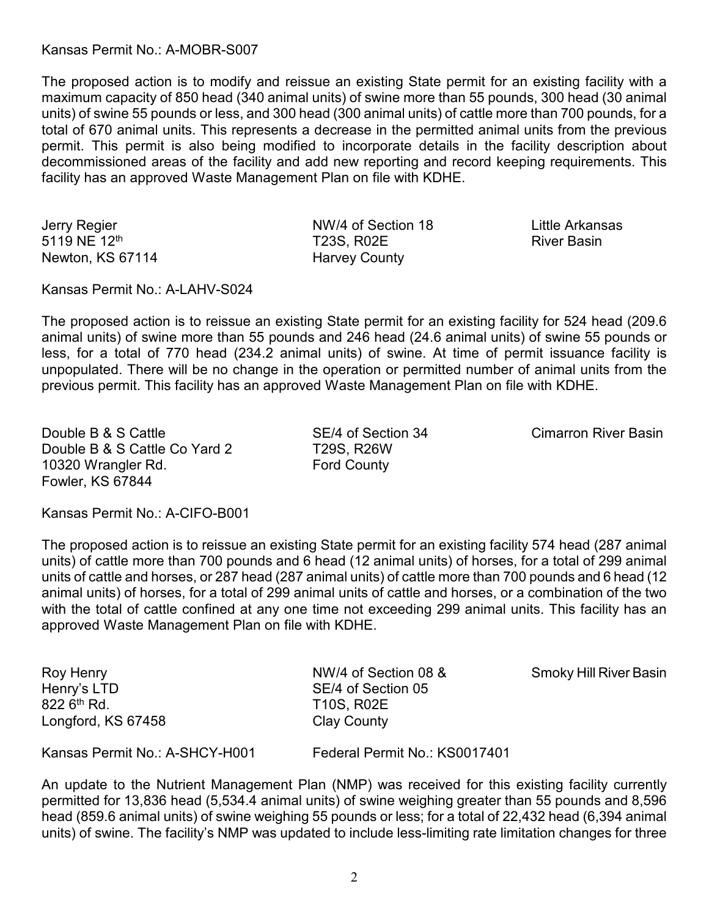Kansas Permit No.: A-MOBR-S007

The proposed action is to modify and reissue an existing State permit for an existing facility with a maximum capacity of 850 head (340 animal units) of swine more than 55 pounds, 300 head (30 animal units) of swine 55 pounds or less, and 300 head (300 animal units) of cattle more than 700 pounds, for a total of 670 animal units. This represents a decrease in the permitted animal units from the previous permit. This permit is also being modified to incorporate details in the facility description about decommissioned areas of the facility and add new reporting and record keeping requirements. This facility has an approved Waste Management Plan on file with KDHE.

Newton, KS 67114 Harvey County

Jerry Regier NW/4 of Section 18 Little Arkansas T23S, R02E River Basin

Kansas Permit No.: A-LAHV-S024

The proposed action is to reissue an existing State permit for an existing facility for 524 head (209.6 animal units) of swine more than 55 pounds and 246 head (24.6 animal units) of swine 55 pounds or less, for a total of 770 head (234.2 animal units) of swine. At time of permit issuance facility is unpopulated. There will be no change in the operation or permitted number of animal units from the previous permit. This facility has an approved Waste Management Plan on file with KDHE.

Double B & S Cattle The SE/4 of Section 34 Cimarron River Basin Double B & S Cattle Co Yard 2 T29S, R26W 10320 Wrangler Rd. The County Research County Fowler, KS 67844

Kansas Permit No.: A-CIFO-B001

The proposed action is to reissue an existing State permit for an existing facility 574 head (287 animal units) of cattle more than 700 pounds and 6 head (12 animal units) of horses, for a total of 299 animal units of cattle and horses, or 287 head (287 animal units) of cattle more than 700 pounds and 6 head (12 animal units) of horses, for a total of 299 animal units of cattle and horses, or a combination of the two with the total of cattle confined at any one time not exceeding 299 animal units. This facility has an approved Waste Management Plan on file with KDHE.

| Roy Henry<br>Henry's LTD<br>822 6 <sup>th</sup> Rd.<br>Longford, KS 67458 | NW/4 of Section 08 &<br>SE/4 of Section 05<br><b>T10S, R02E</b><br><b>Clay County</b> | <b>Smoky Hill River Basin</b> |
|---------------------------------------------------------------------------|---------------------------------------------------------------------------------------|-------------------------------|
| Kansas Permit No.: A-SHCY-H001                                            | Federal Permit No.: KS0017401                                                         |                               |

An update to the Nutrient Management Plan (NMP) was received for this existing facility currently permitted for 13,836 head (5,534.4 animal units) of swine weighing greater than 55 pounds and 8,596 head (859.6 animal units) of swine weighing 55 pounds or less; for a total of 22,432 head (6,394 animal units) of swine. The facility's NMP was updated to include less-limiting rate limitation changes for three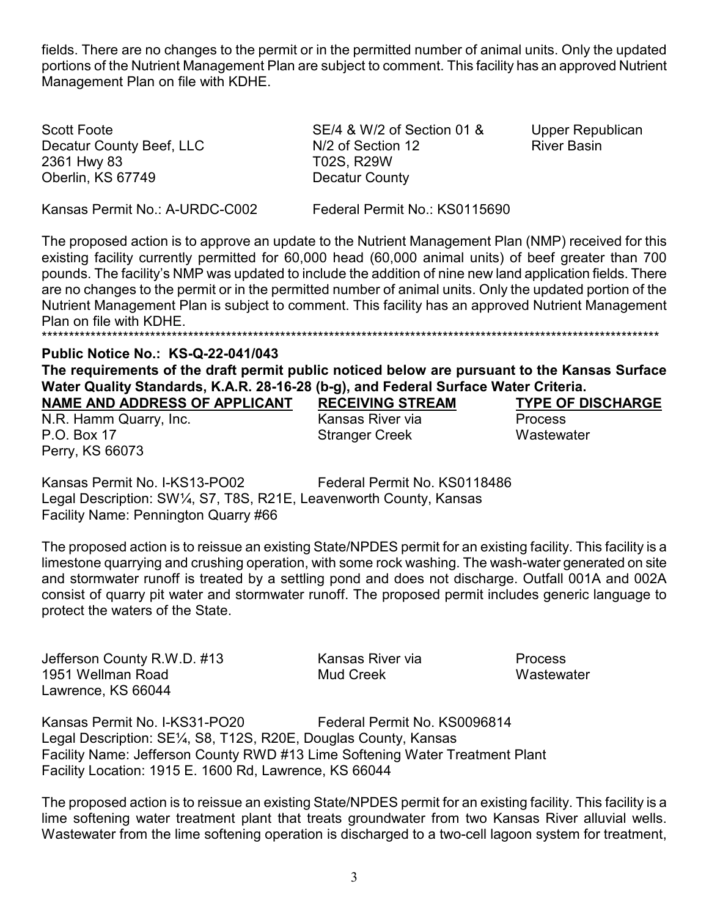fields. There are no changes to the permit or in the permitted number of animal units. Only the updated portions of the Nutrient Management Plan are subject to comment. This facility has an approved Nutrient Management Plan on file with KDHE.

Scott Foote Decatur County Beef, LLC 2361 Hwy 83 Oberlin, KS 67749

SE/4 & W/2 of Section 01 & N/2 of Section 12 T02S, R29W Decatur County

**Upper Republican River Basin** 

Kansas Permit No.: A-URDC-C002

Federal Permit No.: KS0115690

The proposed action is to approve an update to the Nutrient Management Plan (NMP) received for this existing facility currently permitted for 60,000 head (60,000 animal units) of beef greater than 700 pounds. The facility's NMP was updated to include the addition of nine new land application fields. There are no changes to the permit or in the permitted number of animal units. Only the updated portion of the Nutrient Management Plan is subject to comment. This facility has an approved Nutrient Management Plan on file with KDHE. 

## **Public Notice No.: KS-Q-22-041/043**

The requirements of the draft permit public noticed below are pursuant to the Kansas Surface Water Quality Standards, K.A.R. 28-16-28 (b-g), and Federal Surface Water Criteria.

NAME AND ADDRESS OF APPLICANT

N.R. Hamm Quarry, Inc. P.O. Box 17 Perry, KS 66073

**RECEIVING STREAM** Kansas River via **Stranger Creek** 

**TYPE OF DISCHARGE Process** Wastewater

Federal Permit No. KS0118486 Kansas Permit No. I-KS13-PO02 Legal Description: SW1/4, S7, T8S, R21E, Leavenworth County, Kansas Facility Name: Pennington Quarry #66

The proposed action is to reissue an existing State/NPDES permit for an existing facility. This facility is a limestone quarrying and crushing operation, with some rock washing. The wash-water generated on site and stormwater runoff is treated by a settling pond and does not discharge. Outfall 001A and 002A consist of quarry pit water and stormwater runoff. The proposed permit includes generic language to protect the waters of the State.

Jefferson County R.W.D. #13 1951 Wellman Road Lawrence, KS 66044

Kansas River via Mud Creek

**Process** Wastewater

Kansas Permit No. I-KS31-PO20 Federal Permit No. KS0096814 Legal Description: SE¼, S8, T12S, R20E, Douglas County, Kansas Facility Name: Jefferson County RWD #13 Lime Softening Water Treatment Plant Facility Location: 1915 E. 1600 Rd, Lawrence, KS 66044

The proposed action is to reissue an existing State/NPDES permit for an existing facility. This facility is a lime softening water treatment plant that treats groundwater from two Kansas River alluvial wells. Wastewater from the lime softening operation is discharged to a two-cell lagoon system for treatment,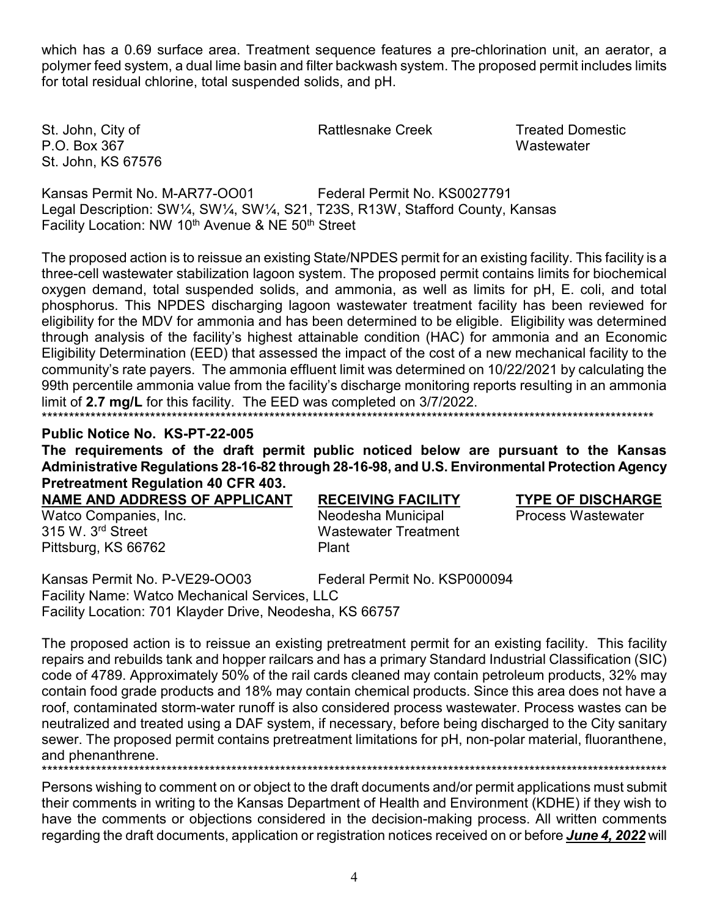which has a 0.69 surface area. Treatment sequence features a pre-chlorination unit, an aerator, a polymer feed system, a dual lime basin and filter backwash system. The proposed permit includes limits for total residual chlorine, total suspended solids, and pH.

St. John, City of P.O. Box 367 St. John, KS 67576 **Rattlesnake Creek** 

**Treated Domestic** Wastewater

Kansas Permit No. M-AR77-OO01 Federal Permit No KS0027791 Legal Description: SW1/4, SW1/4, SW1/4, S21, T23S, R13W, Stafford County, Kansas Facility Location: NW 10<sup>th</sup> Avenue & NE 50<sup>th</sup> Street

The proposed action is to reissue an existing State/NPDES permit for an existing facility. This facility is a three-cell wastewater stabilization lagoon system. The proposed permit contains limits for biochemical oxygen demand, total suspended solids, and ammonia, as well as limits for pH, E. coli, and total phosphorus. This NPDES discharging lagoon wastewater treatment facility has been reviewed for eligibility for the MDV for ammonia and has been determined to be eligible. Eligibility was determined through analysis of the facility's highest attainable condition (HAC) for ammonia and an Economic Eligibility Determination (EED) that assessed the impact of the cost of a new mechanical facility to the community's rate payers. The ammonia effluent limit was determined on 10/22/2021 by calculating the 99th percentile ammonia value from the facility's discharge monitoring reports resulting in an ammonia limit of 2.7 mg/L for this facility. The EED was completed on 3/7/2022. 

Public Notice No. KS-PT-22-005

The requirements of the draft permit public noticed below are pursuant to the Kansas Administrative Regulations 28-16-82 through 28-16-98, and U.S. Environmental Protection Agency **Pretreatment Regulation 40 CFR 403.** 

NAME AND ADDRESS OF APPLICANT Watco Companies, Inc.

315 W. 3rd Street Pittsburg, KS 66762

**RECEIVING FACILITY** Neodesha Municipal **Wastewater Treatment** Plant

**TYPE OF DISCHARGE** 

Process Wastewater

Kansas Permit No. P-VE29-OO03 Federal Permit No. KSP000094 Facility Name: Watco Mechanical Services, LLC Facility Location: 701 Klayder Drive, Neodesha, KS 66757

The proposed action is to reissue an existing pretreatment permit for an existing facility. This facility repairs and rebuilds tank and hopper railcars and has a primary Standard Industrial Classification (SIC) code of 4789. Approximately 50% of the rail cards cleaned may contain petroleum products, 32% may contain food grade products and 18% may contain chemical products. Since this area does not have a roof, contaminated storm-water runoff is also considered process wastewater. Process wastes can be neutralized and treated using a DAF system, if necessary, before being discharged to the City sanitary sewer. The proposed permit contains pretreatment limitations for pH, non-polar material, fluoranthene, and phenanthrene.

Persons wishing to comment on or object to the draft documents and/or permit applications must submit their comments in writing to the Kansas Department of Health and Environment (KDHE) if they wish to have the comments or objections considered in the decision-making process. All written comments

regarding the draft documents, application or registration notices received on or before June 4, 2022 will